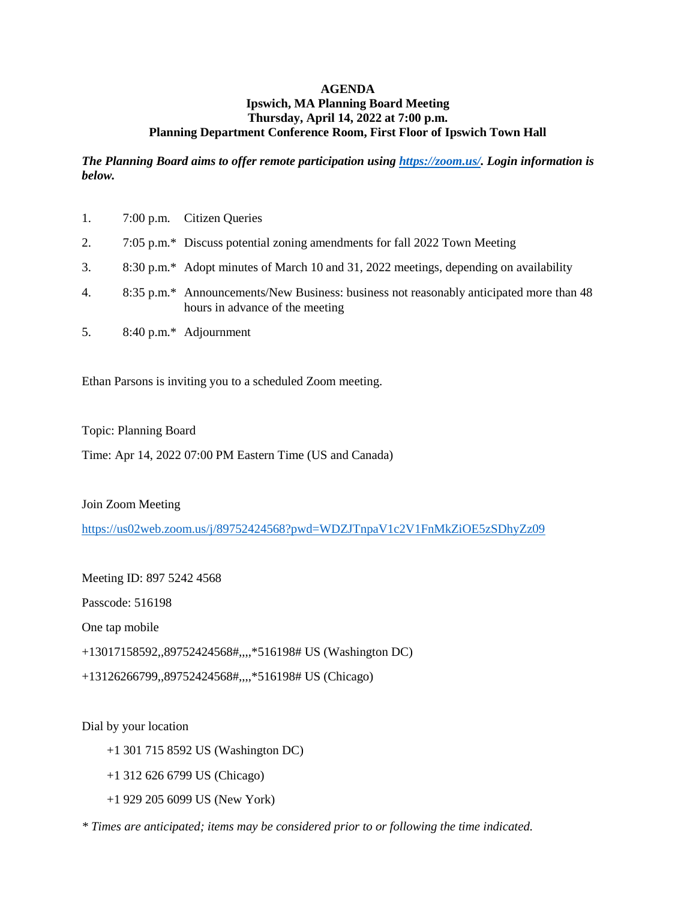## **AGENDA Ipswich, MA Planning Board Meeting Thursday, April 14, 2022 at 7:00 p.m. Planning Department Conference Room, First Floor of Ipswich Town Hall**

*The Planning Board aims to offer remote participation using [https://zoom.us/.](https://zoom.us/) Login information is below.*

| 1. | 7:00 p.m. Citizen Queries                                                                                                  |
|----|----------------------------------------------------------------------------------------------------------------------------|
| 2. | 7:05 p.m.* Discuss potential zoning amendments for fall 2022 Town Meeting                                                  |
| 3. | 8:30 p.m.* Adopt minutes of March 10 and 31, 2022 meetings, depending on availability                                      |
| 4. | 8:35 p.m.* Announcements/New Business: business not reasonably anticipated more than 48<br>hours in advance of the meeting |
| 5. | 8:40 p.m.* Adjournment                                                                                                     |

Ethan Parsons is inviting you to a scheduled Zoom meeting.

Topic: Planning Board

Time: Apr 14, 2022 07:00 PM Eastern Time (US and Canada)

Join Zoom Meeting

<https://us02web.zoom.us/j/89752424568?pwd=WDZJTnpaV1c2V1FnMkZiOE5zSDhyZz09>

Meeting ID: 897 5242 4568

Passcode: 516198

One tap mobile

+13017158592,,89752424568#,,,,\*516198# US (Washington DC)

+13126266799,,89752424568#,,,,\*516198# US (Chicago)

Dial by your location

+1 301 715 8592 US (Washington DC)

+1 312 626 6799 US (Chicago)

+1 929 205 6099 US (New York)

*\* Times are anticipated; items may be considered prior to or following the time indicated.*